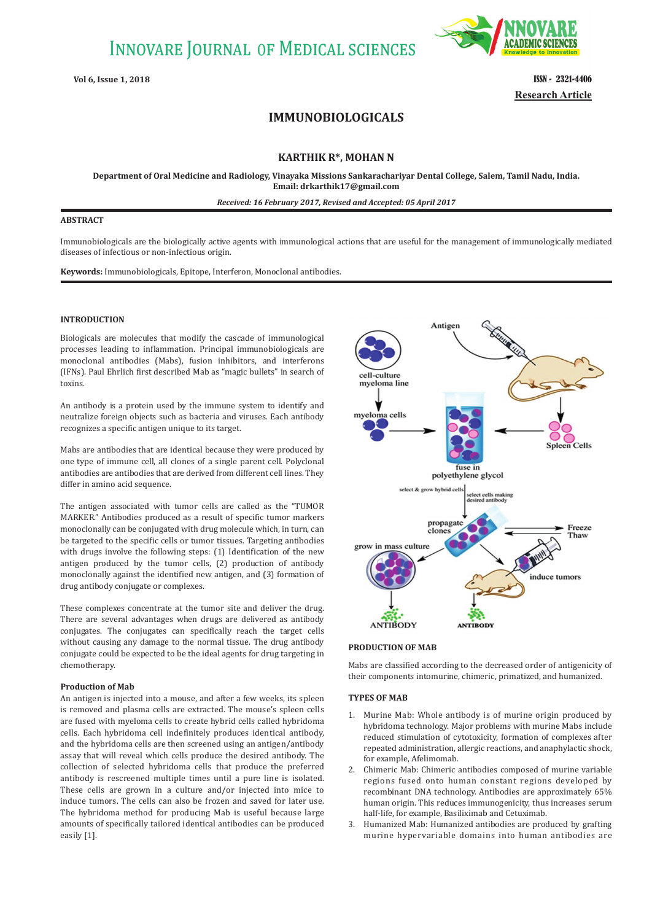# **INNOVARE JOURNAL OF MEDICAL SCIENCES**



**Vol 6, Issue 1, 2018 ISSN - 2321-4406 Research Article**

# **IMMUNOBIOLOGICALS**

# **KARTHIK R\*, MOHAN N**

**Department of Oral Medicine and Radiology, Vinayaka Missions Sankarachariyar Dental College, Salem, Tamil Nadu, India. Email: drkarthik17@gmail.com**

*Received: 16 February 2017, Revised and Accepted: 05 April 2017*

### **ABSTRACT**

Immunobiologicals are the biologically active agents with immunological actions that are useful for the management of immunologically mediated diseases of infectious or non-infectious origin.

**Keywords:** Immunobiologicals, Epitope, Interferon, Monoclonal antibodies.

## **INTRODUCTION**

Biologicals are molecules that modify the cascade of immunological processes leading to inflammation. Principal immunobiologicals are monoclonal antibodies (Mabs), fusion inhibitors, and interferons (IFNs). Paul Ehrlich first described Mab as "magic bullets" in search of toxins.

An antibody is a protein used by the immune system to identify and neutralize foreign objects such as bacteria and viruses. Each antibody recognizes a specific antigen unique to its target.

Mabs are antibodies that are identical because they were produced by one type of immune cell, all clones of a single parent cell. Polyclonal antibodies are antibodies that are derived from different cell lines. They differ in amino acid sequence.

The antigen associated with tumor cells are called as the "TUMOR MARKER." Antibodies produced as a result of specific tumor markers monoclonally can be conjugated with drug molecule which, in turn, can be targeted to the specific cells or tumor tissues. Targeting antibodies with drugs involve the following steps: (1) Identification of the new antigen produced by the tumor cells, (2) production of antibody monoclonally against the identified new antigen, and (3) formation of drug antibody conjugate or complexes.

These complexes concentrate at the tumor site and deliver the drug. There are several advantages when drugs are delivered as antibody conjugates. The conjugates can specifically reach the target cells without causing any damage to the normal tissue. The drug antibody conjugate could be expected to be the ideal agents for drug targeting in chemotherapy.

#### **Production of Mab**

An antigen is injected into a mouse, and after a few weeks, its spleen is removed and plasma cells are extracted. The mouse's spleen cells are fused with myeloma cells to create hybrid cells called hybridoma cells. Each hybridoma cell indefinitely produces identical antibody, and the hybridoma cells are then screened using an antigen/antibody assay that will reveal which cells produce the desired antibody. The collection of selected hybridoma cells that produce the preferred antibody is rescreened multiple times until a pure line is isolated. These cells are grown in a culture and/or injected into mice to induce tumors. The cells can also be frozen and saved for later use. The hybridoma method for producing Mab is useful because large amounts of specifically tailored identical antibodies can be produced easily [1].



#### **PRODUCTION OF MAB**

Mabs are classified according to the decreased order of antigenicity of their components intomurine, chimeric, primatized, and humanized.

#### **TYPES OF MAB**

- 1. Murine Mab: Whole antibody is of murine origin produced by hybridoma technology. Major problems with murine Mabs include reduced stimulation of cytotoxicity, formation of complexes after repeated administration, allergic reactions, and anaphylactic shock, for example, Afelimomab.
- 2. Chimeric Mab: Chimeric antibodies composed of murine variable regions fused onto human constant regions developed by recombinant DNA technology. Antibodies are approximately 65% human origin. This reduces immunogenicity, thus increases serum half-life, for example, Basiliximab and Cetuximab.
- 3. Humanized Mab: Humanized antibodies are produced by grafting murine hypervariable domains into human antibodies are